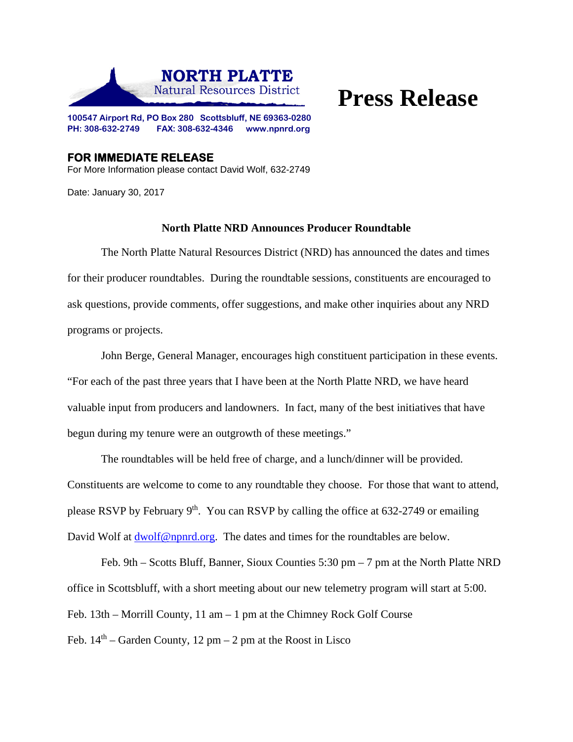

## **Press Release**

**100547 Airport Rd, PO Box 280 Scottsbluff, NE 69363-0280 PH: 308-632-2749 FAX: 308-632-4346 www.npnrd.org** 

**FOR IMMEDIATE RELEASE**  For More Information please contact David Wolf, 632-2749

Date: January 30, 2017

## **North Platte NRD Announces Producer Roundtable**

The North Platte Natural Resources District (NRD) has announced the dates and times for their producer roundtables. During the roundtable sessions, constituents are encouraged to ask questions, provide comments, offer suggestions, and make other inquiries about any NRD programs or projects.

 John Berge, General Manager, encourages high constituent participation in these events. "For each of the past three years that I have been at the North Platte NRD, we have heard valuable input from producers and landowners. In fact, many of the best initiatives that have begun during my tenure were an outgrowth of these meetings."

The roundtables will be held free of charge, and a lunch/dinner will be provided. Constituents are welcome to come to any roundtable they choose. For those that want to attend, please RSVP by February  $9<sup>th</sup>$ . You can RSVP by calling the office at 632-2749 or emailing David Wolf at dwolf@npnrd.org. The dates and times for the roundtables are below.

 Feb. 9th – Scotts Bluff, Banner, Sioux Counties 5:30 pm – 7 pm at the North Platte NRD office in Scottsbluff, with a short meeting about our new telemetry program will start at 5:00. Feb. 13th – Morrill County, 11 am – 1 pm at the Chimney Rock Golf Course

Feb.  $14<sup>th</sup>$  – Garden County, 12 pm – 2 pm at the Roost in Lisco